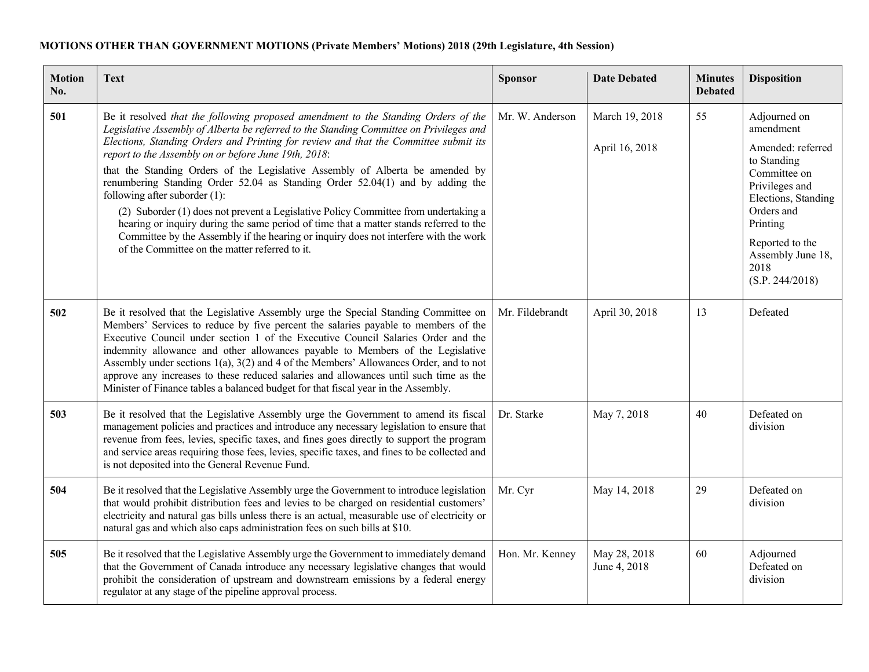## **MOTIONS OTHER THAN GOVERNMENT MOTIONS (Private Members' Motions) 2018 (29th Legislature, 4th Session)**

| <b>Motion</b><br>No. | <b>Text</b>                                                                                                                                                                                                                                                                                                                                                                                                                                                                                                                                                                                                                                                                                                                                                                                                                                                 | Sponsor         | <b>Date Debated</b>              | <b>Minutes</b><br><b>Debated</b> | <b>Disposition</b>                                                                                                                                                                                                  |
|----------------------|-------------------------------------------------------------------------------------------------------------------------------------------------------------------------------------------------------------------------------------------------------------------------------------------------------------------------------------------------------------------------------------------------------------------------------------------------------------------------------------------------------------------------------------------------------------------------------------------------------------------------------------------------------------------------------------------------------------------------------------------------------------------------------------------------------------------------------------------------------------|-----------------|----------------------------------|----------------------------------|---------------------------------------------------------------------------------------------------------------------------------------------------------------------------------------------------------------------|
| 501                  | Be it resolved that the following proposed amendment to the Standing Orders of the<br>Legislative Assembly of Alberta be referred to the Standing Committee on Privileges and<br>Elections, Standing Orders and Printing for review and that the Committee submit its<br>report to the Assembly on or before June 19th, 2018:<br>that the Standing Orders of the Legislative Assembly of Alberta be amended by<br>renumbering Standing Order 52.04 as Standing Order 52.04(1) and by adding the<br>following after suborder (1):<br>(2) Suborder (1) does not prevent a Legislative Policy Committee from undertaking a<br>hearing or inquiry during the same period of time that a matter stands referred to the<br>Committee by the Assembly if the hearing or inquiry does not interfere with the work<br>of the Committee on the matter referred to it. | Mr. W. Anderson | March 19, 2018<br>April 16, 2018 | 55                               | Adjourned on<br>amendment<br>Amended: referred<br>to Standing<br>Committee on<br>Privileges and<br>Elections, Standing<br>Orders and<br>Printing<br>Reported to the<br>Assembly June 18,<br>2018<br>(S.P. 244/2018) |
| 502                  | Be it resolved that the Legislative Assembly urge the Special Standing Committee on<br>Members' Services to reduce by five percent the salaries payable to members of the<br>Executive Council under section 1 of the Executive Council Salaries Order and the<br>indemnity allowance and other allowances payable to Members of the Legislative<br>Assembly under sections $1(a)$ , $3(2)$ and 4 of the Members' Allowances Order, and to not<br>approve any increases to these reduced salaries and allowances until such time as the<br>Minister of Finance tables a balanced budget for that fiscal year in the Assembly.                                                                                                                                                                                                                               | Mr. Fildebrandt | April 30, 2018                   | 13                               | Defeated                                                                                                                                                                                                            |
| 503                  | Be it resolved that the Legislative Assembly urge the Government to amend its fiscal<br>management policies and practices and introduce any necessary legislation to ensure that<br>revenue from fees, levies, specific taxes, and fines goes directly to support the program<br>and service areas requiring those fees, levies, specific taxes, and fines to be collected and<br>is not deposited into the General Revenue Fund.                                                                                                                                                                                                                                                                                                                                                                                                                           | Dr. Starke      | May 7, 2018                      | 40                               | Defeated on<br>division                                                                                                                                                                                             |
| 504                  | Be it resolved that the Legislative Assembly urge the Government to introduce legislation<br>that would prohibit distribution fees and levies to be charged on residential customers'<br>electricity and natural gas bills unless there is an actual, measurable use of electricity or<br>natural gas and which also caps administration fees on such bills at \$10.                                                                                                                                                                                                                                                                                                                                                                                                                                                                                        | Mr. Cyr         | May 14, 2018                     | 29                               | Defeated on<br>division                                                                                                                                                                                             |
| 505                  | Be it resolved that the Legislative Assembly urge the Government to immediately demand<br>that the Government of Canada introduce any necessary legislative changes that would<br>prohibit the consideration of upstream and downstream emissions by a federal energy<br>regulator at any stage of the pipeline approval process.                                                                                                                                                                                                                                                                                                                                                                                                                                                                                                                           | Hon. Mr. Kenney | May 28, 2018<br>June 4, 2018     | 60                               | Adjourned<br>Defeated on<br>division                                                                                                                                                                                |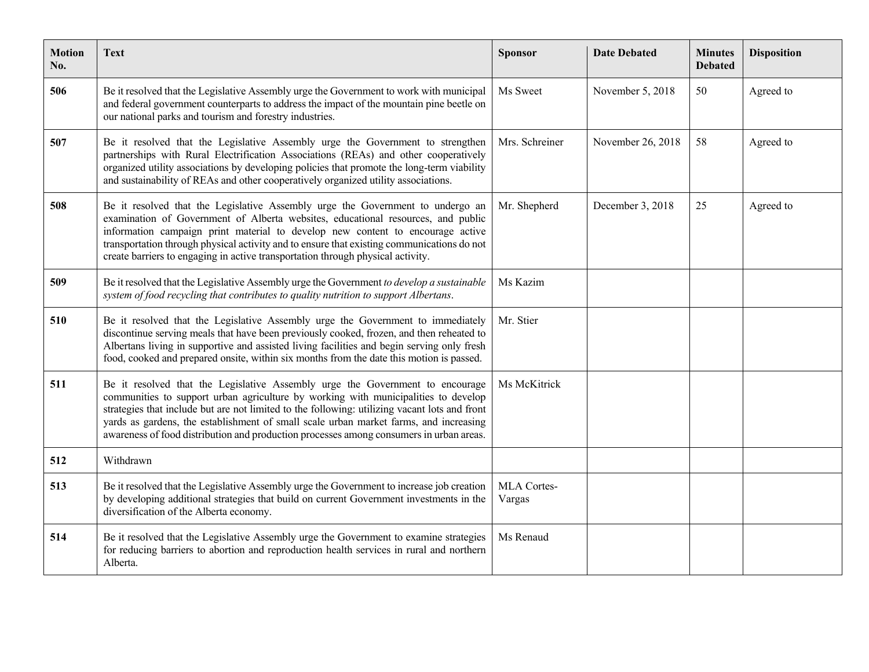| <b>Motion</b><br>No. | Text                                                                                                                                                                                                                                                                                                                                                                                                                                                     | <b>Sponsor</b>        | <b>Date Debated</b> | <b>Minutes</b><br><b>Debated</b> | <b>Disposition</b> |
|----------------------|----------------------------------------------------------------------------------------------------------------------------------------------------------------------------------------------------------------------------------------------------------------------------------------------------------------------------------------------------------------------------------------------------------------------------------------------------------|-----------------------|---------------------|----------------------------------|--------------------|
| 506                  | Be it resolved that the Legislative Assembly urge the Government to work with municipal<br>and federal government counterparts to address the impact of the mountain pine beetle on<br>our national parks and tourism and forestry industries.                                                                                                                                                                                                           | Ms Sweet              | November 5, 2018    | 50                               | Agreed to          |
| 507                  | Be it resolved that the Legislative Assembly urge the Government to strengthen<br>partnerships with Rural Electrification Associations (REAs) and other cooperatively<br>organized utility associations by developing policies that promote the long-term viability<br>and sustainability of REAs and other cooperatively organized utility associations.                                                                                                | Mrs. Schreiner        | November 26, 2018   | 58                               | Agreed to          |
| 508                  | Be it resolved that the Legislative Assembly urge the Government to undergo an<br>examination of Government of Alberta websites, educational resources, and public<br>information campaign print material to develop new content to encourage active<br>transportation through physical activity and to ensure that existing communications do not<br>create barriers to engaging in active transportation through physical activity.                    | Mr. Shepherd          | December 3, 2018    | 25                               | Agreed to          |
| 509                  | Be it resolved that the Legislative Assembly urge the Government to develop a sustainable<br>system of food recycling that contributes to quality nutrition to support Albertans.                                                                                                                                                                                                                                                                        | Ms Kazim              |                     |                                  |                    |
| 510                  | Be it resolved that the Legislative Assembly urge the Government to immediately<br>discontinue serving meals that have been previously cooked, frozen, and then reheated to<br>Albertans living in supportive and assisted living facilities and begin serving only fresh<br>food, cooked and prepared onsite, within six months from the date this motion is passed.                                                                                    | Mr. Stier             |                     |                                  |                    |
| 511                  | Be it resolved that the Legislative Assembly urge the Government to encourage<br>communities to support urban agriculture by working with municipalities to develop<br>strategies that include but are not limited to the following: utilizing vacant lots and front<br>yards as gardens, the establishment of small scale urban market farms, and increasing<br>awareness of food distribution and production processes among consumers in urban areas. | Ms McKitrick          |                     |                                  |                    |
| 512                  | Withdrawn                                                                                                                                                                                                                                                                                                                                                                                                                                                |                       |                     |                                  |                    |
| 513                  | Be it resolved that the Legislative Assembly urge the Government to increase job creation<br>by developing additional strategies that build on current Government investments in the<br>diversification of the Alberta economy.                                                                                                                                                                                                                          | MLA Cortes-<br>Vargas |                     |                                  |                    |
| 514                  | Be it resolved that the Legislative Assembly urge the Government to examine strategies<br>for reducing barriers to abortion and reproduction health services in rural and northern<br>Alberta.                                                                                                                                                                                                                                                           | Ms Renaud             |                     |                                  |                    |